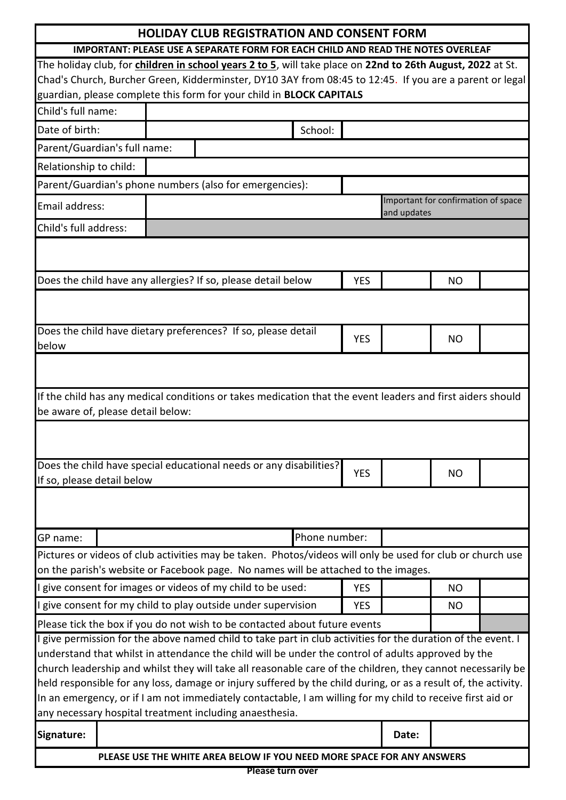| <b>HOLIDAY CLUB REGISTRATION AND CONSENT FORM</b> |                                                                                                                                                                                                                                                                                                                                                                                                                                                                                                                                                                                                                                                                                                            |               |                          |                                                    |                        |  |
|---------------------------------------------------|------------------------------------------------------------------------------------------------------------------------------------------------------------------------------------------------------------------------------------------------------------------------------------------------------------------------------------------------------------------------------------------------------------------------------------------------------------------------------------------------------------------------------------------------------------------------------------------------------------------------------------------------------------------------------------------------------------|---------------|--------------------------|----------------------------------------------------|------------------------|--|
|                                                   | IMPORTANT: PLEASE USE A SEPARATE FORM FOR EACH CHILD AND READ THE NOTES OVERLEAF                                                                                                                                                                                                                                                                                                                                                                                                                                                                                                                                                                                                                           |               |                          |                                                    |                        |  |
|                                                   | The holiday club, for children in school years 2 to 5, will take place on 22nd to 26th August, 2022 at St.                                                                                                                                                                                                                                                                                                                                                                                                                                                                                                                                                                                                 |               |                          |                                                    |                        |  |
|                                                   | Chad's Church, Burcher Green, Kidderminster, DY10 3AY from 08:45 to 12:45. If you are a parent or legal                                                                                                                                                                                                                                                                                                                                                                                                                                                                                                                                                                                                    |               |                          |                                                    |                        |  |
|                                                   | guardian, please complete this form for your child in BLOCK CAPITALS                                                                                                                                                                                                                                                                                                                                                                                                                                                                                                                                                                                                                                       |               |                          |                                                    |                        |  |
| Child's full name:                                |                                                                                                                                                                                                                                                                                                                                                                                                                                                                                                                                                                                                                                                                                                            |               |                          |                                                    |                        |  |
| Date of birth:                                    |                                                                                                                                                                                                                                                                                                                                                                                                                                                                                                                                                                                                                                                                                                            | School:       |                          |                                                    |                        |  |
| Parent/Guardian's full name:                      |                                                                                                                                                                                                                                                                                                                                                                                                                                                                                                                                                                                                                                                                                                            |               |                          |                                                    |                        |  |
| Relationship to child:                            |                                                                                                                                                                                                                                                                                                                                                                                                                                                                                                                                                                                                                                                                                                            |               |                          |                                                    |                        |  |
|                                                   | Parent/Guardian's phone numbers (also for emergencies):                                                                                                                                                                                                                                                                                                                                                                                                                                                                                                                                                                                                                                                    |               |                          |                                                    |                        |  |
| Email address:                                    |                                                                                                                                                                                                                                                                                                                                                                                                                                                                                                                                                                                                                                                                                                            |               |                          | Important for confirmation of space<br>and updates |                        |  |
| Child's full address:                             |                                                                                                                                                                                                                                                                                                                                                                                                                                                                                                                                                                                                                                                                                                            |               |                          |                                                    |                        |  |
|                                                   | Does the child have any allergies? If so, please detail below                                                                                                                                                                                                                                                                                                                                                                                                                                                                                                                                                                                                                                              |               | <b>YES</b>               |                                                    | <b>NO</b>              |  |
| below                                             | Does the child have dietary preferences? If so, please detail                                                                                                                                                                                                                                                                                                                                                                                                                                                                                                                                                                                                                                              |               | <b>YES</b>               |                                                    | NO                     |  |
|                                                   |                                                                                                                                                                                                                                                                                                                                                                                                                                                                                                                                                                                                                                                                                                            |               |                          |                                                    |                        |  |
| be aware of, please detail below:                 | If the child has any medical conditions or takes medication that the event leaders and first aiders should                                                                                                                                                                                                                                                                                                                                                                                                                                                                                                                                                                                                 |               |                          |                                                    |                        |  |
|                                                   | Does the child have special educational needs or any disabilities?                                                                                                                                                                                                                                                                                                                                                                                                                                                                                                                                                                                                                                         |               | <b>YES</b>               |                                                    | <b>NO</b>              |  |
| If so, please detail below                        |                                                                                                                                                                                                                                                                                                                                                                                                                                                                                                                                                                                                                                                                                                            |               |                          |                                                    |                        |  |
| GP name:                                          |                                                                                                                                                                                                                                                                                                                                                                                                                                                                                                                                                                                                                                                                                                            | Phone number: |                          |                                                    |                        |  |
|                                                   | Pictures or videos of club activities may be taken. Photos/videos will only be used for club or church use<br>on the parish's website or Facebook page. No names will be attached to the images.                                                                                                                                                                                                                                                                                                                                                                                                                                                                                                           |               |                          |                                                    |                        |  |
|                                                   |                                                                                                                                                                                                                                                                                                                                                                                                                                                                                                                                                                                                                                                                                                            |               |                          |                                                    |                        |  |
|                                                   | I give consent for images or videos of my child to be used:                                                                                                                                                                                                                                                                                                                                                                                                                                                                                                                                                                                                                                                |               | <b>YES</b><br><b>YES</b> |                                                    | <b>NO</b><br><b>NO</b> |  |
|                                                   | I give consent for my child to play outside under supervision                                                                                                                                                                                                                                                                                                                                                                                                                                                                                                                                                                                                                                              |               |                          |                                                    |                        |  |
|                                                   | Please tick the box if you do not wish to be contacted about future events<br>I give permission for the above named child to take part in club activities for the duration of the event. I<br>understand that whilst in attendance the child will be under the control of adults approved by the<br>church leadership and whilst they will take all reasonable care of the children, they cannot necessarily be<br>held responsible for any loss, damage or injury suffered by the child during, or as a result of, the activity.<br>In an emergency, or if I am not immediately contactable, I am willing for my child to receive first aid or<br>any necessary hospital treatment including anaesthesia. |               |                          |                                                    |                        |  |
| Signature:                                        |                                                                                                                                                                                                                                                                                                                                                                                                                                                                                                                                                                                                                                                                                                            |               |                          | Date:                                              |                        |  |